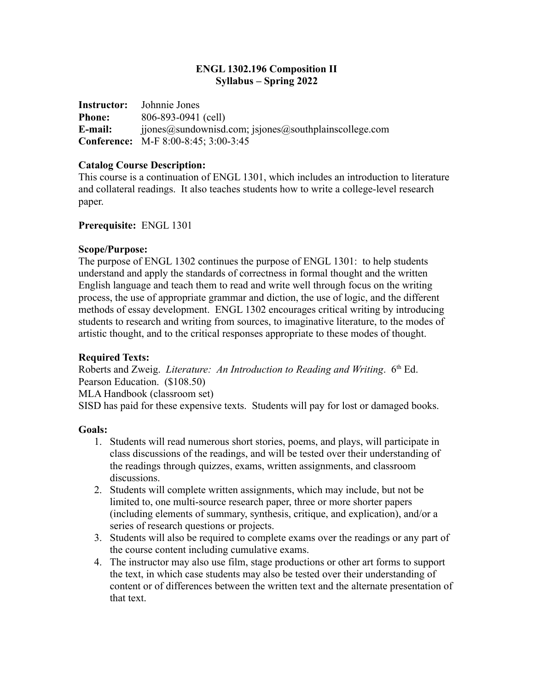## **ENGL 1302.196 Composition II Syllabus – Spring 2022**

**Instructor:** Johnnie Jones **Phone:** 806-893-0941 (cell) **E-mail:** jjones@sundownisd.com; jsjones@southplainscollege.com **Conference:** M-F 8:00-8:45; 3:00-3:45

## **Catalog Course Description:**

This course is a continuation of ENGL 1301, which includes an introduction to literature and collateral readings. It also teaches students how to write a college-level research paper.

## **Prerequisite:** ENGL 1301

## **Scope/Purpose:**

The purpose of ENGL 1302 continues the purpose of ENGL 1301: to help students understand and apply the standards of correctness in formal thought and the written English language and teach them to read and write well through focus on the writing process, the use of appropriate grammar and diction, the use of logic, and the different methods of essay development. ENGL 1302 encourages critical writing by introducing students to research and writing from sources, to imaginative literature, to the modes of artistic thought, and to the critical responses appropriate to these modes of thought.

# **Required Texts:**

Roberts and Zweig. *Literature: An Introduction to Reading and Writing.* 6<sup>th</sup> Ed. Pearson Education. (\$108.50) MLA Handbook (classroom set) SISD has paid for these expensive texts. Students will pay for lost or damaged books.

#### **Goals:**

- 1. Students will read numerous short stories, poems, and plays, will participate in class discussions of the readings, and will be tested over their understanding of the readings through quizzes, exams, written assignments, and classroom discussions.
- 2. Students will complete written assignments, which may include, but not be limited to, one multi-source research paper, three or more shorter papers (including elements of summary, synthesis, critique, and explication), and/or a series of research questions or projects.
- 3. Students will also be required to complete exams over the readings or any part of the course content including cumulative exams.
- 4. The instructor may also use film, stage productions or other art forms to support the text, in which case students may also be tested over their understanding of content or of differences between the written text and the alternate presentation of that text.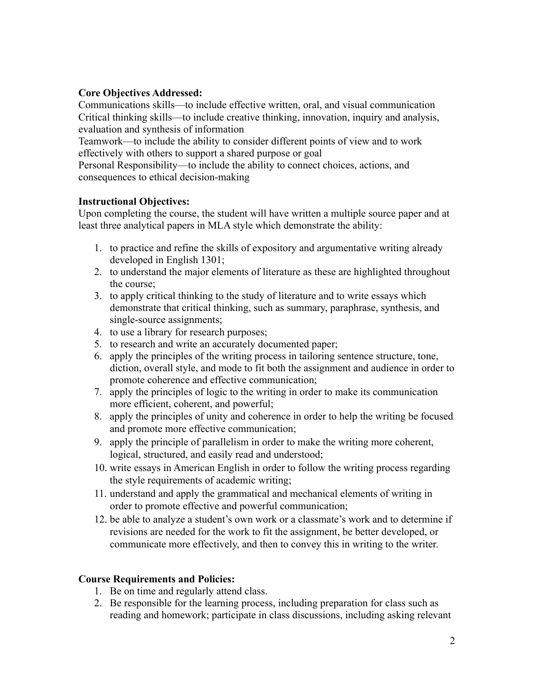# **Core Objectives Addressed:**

Communications skills—to include effective written, oral, and visual communication Critical thinking skills—to include creative thinking, innovation, inquiry and analysis, evaluation and synthesis of information

Teamwork—to include the ability to consider different points of view and to work effectively with others to support a shared purpose or goal

Personal Responsibility—to include the ability to connect choices, actions, and consequences to ethical decision-making

# **Instructional Objectives:**

Upon completing the course, the student will have written a multiple source paper and at least three analytical papers in MLA style which demonstrate the ability:

- 1. to practice and refine the skills of expository and argumentative writing already developed in English 1301;
- 2. to understand the major elements of literature as these are highlighted throughout the course;
- 3. to apply critical thinking to the study of literature and to write essays which demonstrate that critical thinking, such as summary, paraphrase, synthesis, and single-source assignments;
- 4. to use a library for research purposes;
- 5. to research and write an accurately documented paper;
- 6. apply the principles of the writing process in tailoring sentence structure, tone, diction, overall style, and mode to fit both the assignment and audience in order to promote coherence and effective communication;
- 7. apply the principles of logic to the writing in order to make its communication more efficient, coherent, and powerful;
- 8. apply the principles of unity and coherence in order to help the writing be focused and promote more effective communication;
- 9. apply the principle of parallelism in order to make the writing more coherent, logical, structured, and easily read and understood;
- 10. write essays in American English in order to follow the writing process regarding the style requirements of academic writing;
- 11. understand and apply the grammatical and mechanical elements of writing in order to promote effective and powerful communication;
- 12. be able to analyze a student's own work or a classmate's work and to determine if revisions are needed for the work to fit the assignment, be better developed, or communicate more effectively, and then to convey this in writing to the writer.

# **Course Requirements and Policies:**

- 1. Be on time and regularly attend class.
- 2. Be responsible for the learning process, including preparation for class such as reading and homework; participate in class discussions, including asking relevant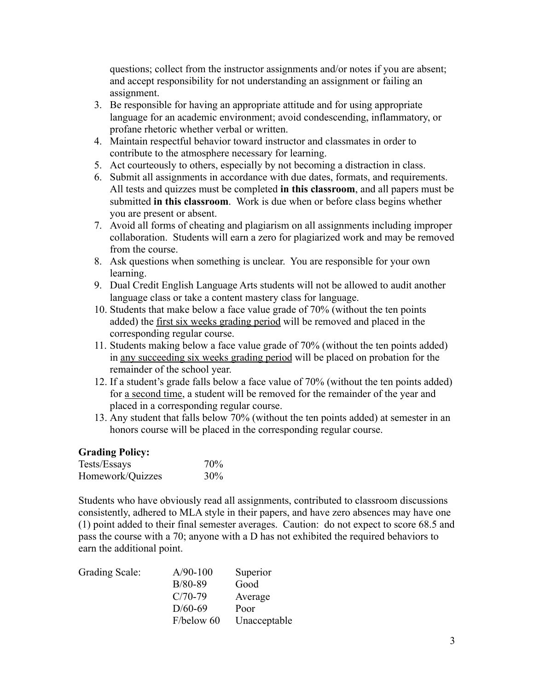questions; collect from the instructor assignments and/or notes if you are absent; and accept responsibility for not understanding an assignment or failing an assignment.

- 3. Be responsible for having an appropriate attitude and for using appropriate language for an academic environment; avoid condescending, inflammatory, or profane rhetoric whether verbal or written.
- 4. Maintain respectful behavior toward instructor and classmates in order to contribute to the atmosphere necessary for learning.
- 5. Act courteously to others, especially by not becoming a distraction in class.
- 6. Submit all assignments in accordance with due dates, formats, and requirements. All tests and quizzes must be completed **in this classroom**, and all papers must be submitted **in this classroom**. Work is due when or before class begins whether you are present or absent.
- 7. Avoid all forms of cheating and plagiarism on all assignments including improper collaboration. Students will earn a zero for plagiarized work and may be removed from the course.
- 8. Ask questions when something is unclear. You are responsible for your own learning.
- 9. Dual Credit English Language Arts students will not be allowed to audit another language class or take a content mastery class for language.
- 10. Students that make below a face value grade of 70% (without the ten points added) the first six weeks grading period will be removed and placed in the corresponding regular course.
- 11. Students making below a face value grade of 70% (without the ten points added) in any succeeding six weeks grading period will be placed on probation for the remainder of the school year.
- 12. If a student's grade falls below a face value of 70% (without the ten points added) for a second time, a student will be removed for the remainder of the year and placed in a corresponding regular course.
- 13. Any student that falls below 70% (without the ten points added) at semester in an honors course will be placed in the corresponding regular course.

# **Grading Policy:**

| Tests/Essays     | 70%    |
|------------------|--------|
| Homework/Quizzes | $30\%$ |

Students who have obviously read all assignments, contributed to classroom discussions consistently, adhered to MLA style in their papers, and have zero absences may have one (1) point added to their final semester averages. Caution: do not expect to score 68.5 and pass the course with a 70; anyone with a D has not exhibited the required behaviors to earn the additional point.

| $A/90-100$ | Superior     |
|------------|--------------|
| $B/80-89$  | Good         |
| $C/70-79$  | Average      |
| $D/60-69$  | Poor         |
| F/below 60 | Unacceptable |
|            |              |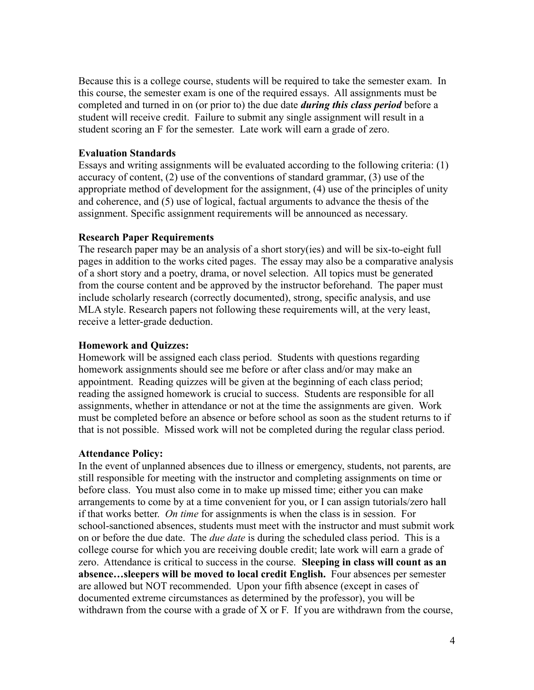Because this is a college course, students will be required to take the semester exam. In this course, the semester exam is one of the required essays. All assignments must be completed and turned in on (or prior to) the due date *during this class period* before a student will receive credit. Failure to submit any single assignment will result in a student scoring an F for the semester. Late work will earn a grade of zero.

## **Evaluation Standards**

Essays and writing assignments will be evaluated according to the following criteria: (1) accuracy of content, (2) use of the conventions of standard grammar, (3) use of the appropriate method of development for the assignment, (4) use of the principles of unity and coherence, and (5) use of logical, factual arguments to advance the thesis of the assignment. Specific assignment requirements will be announced as necessary.

#### **Research Paper Requirements**

The research paper may be an analysis of a short story(ies) and will be six-to-eight full pages in addition to the works cited pages. The essay may also be a comparative analysis of a short story and a poetry, drama, or novel selection. All topics must be generated from the course content and be approved by the instructor beforehand. The paper must include scholarly research (correctly documented), strong, specific analysis, and use MLA style. Research papers not following these requirements will, at the very least, receive a letter-grade deduction.

#### **Homework and Quizzes:**

Homework will be assigned each class period. Students with questions regarding homework assignments should see me before or after class and/or may make an appointment. Reading quizzes will be given at the beginning of each class period; reading the assigned homework is crucial to success. Students are responsible for all assignments, whether in attendance or not at the time the assignments are given. Work must be completed before an absence or before school as soon as the student returns to if that is not possible. Missed work will not be completed during the regular class period.

#### **Attendance Policy:**

In the event of unplanned absences due to illness or emergency, students, not parents, are still responsible for meeting with the instructor and completing assignments on time or before class. You must also come in to make up missed time; either you can make arrangements to come by at a time convenient for you, or I can assign tutorials/zero hall if that works better. *On time* for assignments is when the class is in session. For school-sanctioned absences, students must meet with the instructor and must submit work on or before the due date. The *due date* is during the scheduled class period. This is a college course for which you are receiving double credit; late work will earn a grade of zero. Attendance is critical to success in the course. **Sleeping in class will count as an absence…sleepers will be moved to local credit English.** Four absences per semester are allowed but NOT recommended. Upon your fifth absence (except in cases of documented extreme circumstances as determined by the professor), you will be withdrawn from the course with a grade of X or F. If you are withdrawn from the course,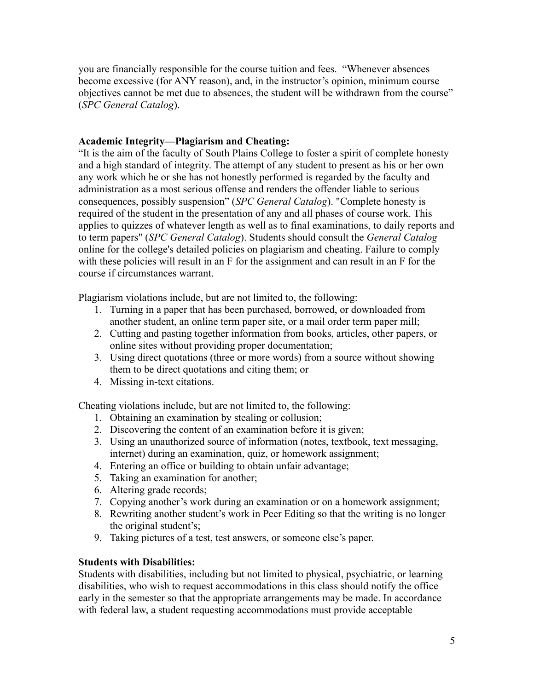you are financially responsible for the course tuition and fees. "Whenever absences become excessive (for ANY reason), and, in the instructor's opinion, minimum course objectives cannot be met due to absences, the student will be withdrawn from the course" (*SPC General Catalog*).

# **Academic Integrity—Plagiarism and Cheating:**

"It is the aim of the faculty of South Plains College to foster a spirit of complete honesty and a high standard of integrity. The attempt of any student to present as his or her own any work which he or she has not honestly performed is regarded by the faculty and administration as a most serious offense and renders the offender liable to serious consequences, possibly suspension" (*SPC General Catalog*). "Complete honesty is required of the student in the presentation of any and all phases of course work. This applies to quizzes of whatever length as well as to final examinations, to daily reports and to term papers" (*SPC General Catalog*). Students should consult the *General Catalog* online for the college's detailed policies on plagiarism and cheating. Failure to comply with these policies will result in an F for the assignment and can result in an F for the course if circumstances warrant.

Plagiarism violations include, but are not limited to, the following:

- 1. Turning in a paper that has been purchased, borrowed, or downloaded from another student, an online term paper site, or a mail order term paper mill;
- 2. Cutting and pasting together information from books, articles, other papers, or online sites without providing proper documentation;
- 3. Using direct quotations (three or more words) from a source without showing them to be direct quotations and citing them; or
- 4. Missing in-text citations.

Cheating violations include, but are not limited to, the following:

- 1. Obtaining an examination by stealing or collusion;
- 2. Discovering the content of an examination before it is given;
- 3. Using an unauthorized source of information (notes, textbook, text messaging, internet) during an examination, quiz, or homework assignment;
- 4. Entering an office or building to obtain unfair advantage;
- 5. Taking an examination for another;
- 6. Altering grade records;
- 7. Copying another's work during an examination or on a homework assignment;
- 8. Rewriting another student's work in Peer Editing so that the writing is no longer the original student's;
- 9. Taking pictures of a test, test answers, or someone else's paper.

#### **Students with Disabilities:**

Students with disabilities, including but not limited to physical, psychiatric, or learning disabilities, who wish to request accommodations in this class should notify the office early in the semester so that the appropriate arrangements may be made. In accordance with federal law, a student requesting accommodations must provide acceptable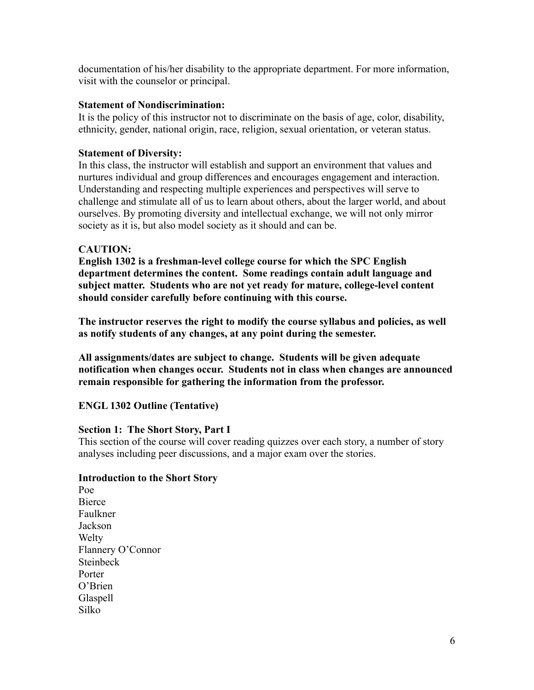documentation of his/her disability to the appropriate department. For more information, visit with the counselor or principal.

## **Statement of Nondiscrimination:**

It is the policy of this instructor not to discriminate on the basis of age, color, disability, ethnicity, gender, national origin, race, religion, sexual orientation, or veteran status.

## **Statement of Diversity:**

In this class, the instructor will establish and support an environment that values and nurtures individual and group differences and encourages engagement and interaction. Understanding and respecting multiple experiences and perspectives will serve to challenge and stimulate all of us to learn about others, about the larger world, and about ourselves. By promoting diversity and intellectual exchange, we will not only mirror society as it is, but also model society as it should and can be.

## **CAUTION:**

**English 1302 is a freshman-level college course for which the SPC English department determines the content. Some readings contain adult language and subject matter. Students who are not yet ready for mature, college-level content should consider carefully before continuing with this course.**

**The instructor reserves the right to modify the course syllabus and policies, as well as notify students of any changes, at any point during the semester.**

**All assignments/dates are subject to change. Students will be given adequate notification when changes occur. Students not in class when changes are announced remain responsible for gathering the information from the professor.**

# **ENGL 1302 Outline (Tentative)**

#### **Section 1: The Short Story, Part I**

This section of the course will cover reading quizzes over each story, a number of story analyses including peer discussions, and a major exam over the stories.

#### **Introduction to the Short Story**

Poe **Bierce** Faulkner Jackson **Welty** Flannery O'Connor **Steinbeck** Porter O'Brien Glaspell Silko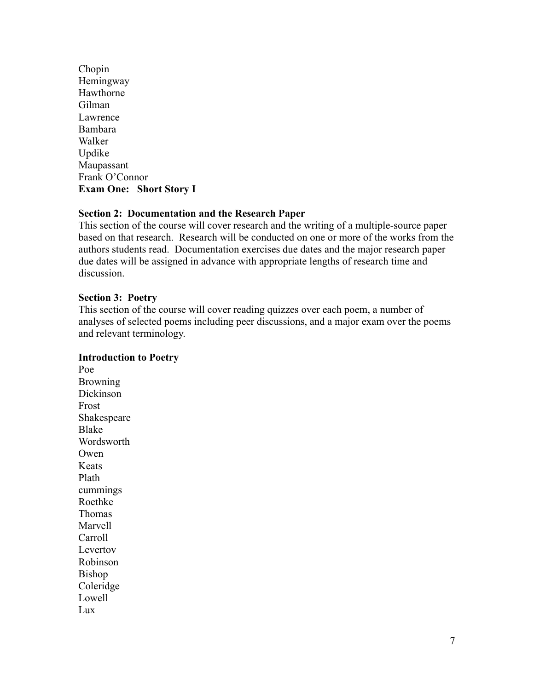Chopin Hemingway Hawthorne Gilman Lawrence Bambara Walker Updike Maupassant Frank O'Connor **Exam One: Short Story I**

# **Section 2: Documentation and the Research Paper**

This section of the course will cover research and the writing of a multiple-source paper based on that research. Research will be conducted on one or more of the works from the authors students read. Documentation exercises due dates and the major research paper due dates will be assigned in advance with appropriate lengths of research time and discussion.

## **Section 3: Poetry**

This section of the course will cover reading quizzes over each poem, a number of analyses of selected poems including peer discussions, and a major exam over the poems and relevant terminology.

#### **Introduction to Poetry**

Poe Browning Dickinson Frost Shakespeare Blake Wordsworth Owen Keats Plath cummings Roethke Thomas Marvell Carroll Levertov Robinson Bishop Coleridge Lowell Lux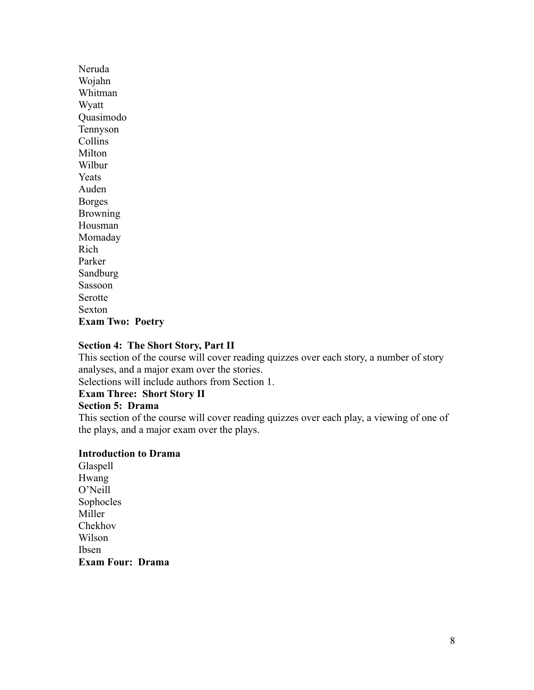Neruda Wojahn Whitman Wyatt Quasimodo Tennyson Collins Milton Wilbur **Yeats** Auden Borges Browning Housman Momaday Rich Parker Sandburg Sassoon Serotte Sexton **Exam Two: Poetry**

#### **Section 4: The Short Story, Part II**

This section of the course will cover reading quizzes over each story, a number of story analyses, and a major exam over the stories.

Selections will include authors from Section 1.

## **Exam Three: Short Story II**

#### **Section 5: Drama**

This section of the course will cover reading quizzes over each play, a viewing of one of the plays, and a major exam over the plays.

#### **Introduction to Drama**

Glaspell Hwang O'Neill Sophocles Miller Chekhov Wilson Ibsen **Exam Four: Drama**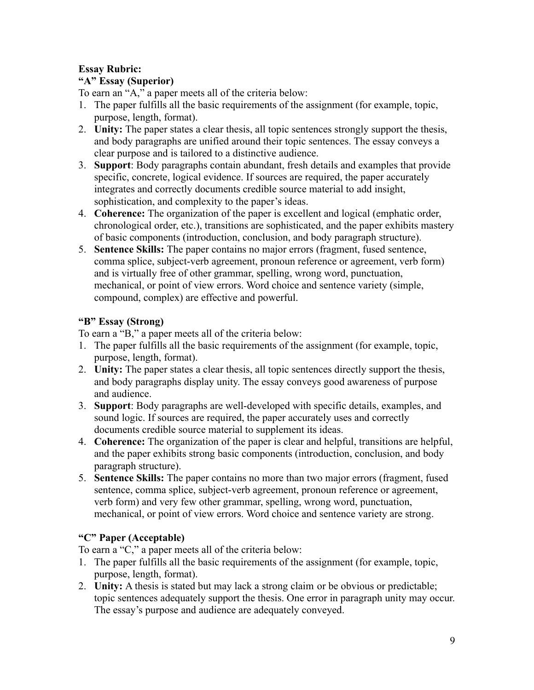# **Essay Rubric:**

# **"A" Essay (Superior)**

To earn an "A," a paper meets all of the criteria below:

- 1. The paper fulfills all the basic requirements of the assignment (for example, topic, purpose, length, format).
- 2. **Unity:** The paper states a clear thesis, all topic sentences strongly support the thesis, and body paragraphs are unified around their topic sentences. The essay conveys a clear purpose and is tailored to a distinctive audience.
- 3. **Support**: Body paragraphs contain abundant, fresh details and examples that provide specific, concrete, logical evidence. If sources are required, the paper accurately integrates and correctly documents credible source material to add insight, sophistication, and complexity to the paper's ideas.
- 4. **Coherence:** The organization of the paper is excellent and logical (emphatic order, chronological order, etc.), transitions are sophisticated, and the paper exhibits mastery of basic components (introduction, conclusion, and body paragraph structure).
- 5. **Sentence Skills:** The paper contains no major errors (fragment, fused sentence, comma splice, subject-verb agreement, pronoun reference or agreement, verb form) and is virtually free of other grammar, spelling, wrong word, punctuation, mechanical, or point of view errors. Word choice and sentence variety (simple, compound, complex) are effective and powerful.

# **"B" Essay (Strong)**

To earn a "B," a paper meets all of the criteria below:

- 1. The paper fulfills all the basic requirements of the assignment (for example, topic, purpose, length, format).
- 2. **Unity:** The paper states a clear thesis, all topic sentences directly support the thesis, and body paragraphs display unity. The essay conveys good awareness of purpose and audience.
- 3. **Support**: Body paragraphs are well-developed with specific details, examples, and sound logic. If sources are required, the paper accurately uses and correctly documents credible source material to supplement its ideas.
- 4. **Coherence:** The organization of the paper is clear and helpful, transitions are helpful, and the paper exhibits strong basic components (introduction, conclusion, and body paragraph structure).
- 5. **Sentence Skills:** The paper contains no more than two major errors (fragment, fused sentence, comma splice, subject-verb agreement, pronoun reference or agreement, verb form) and very few other grammar, spelling, wrong word, punctuation, mechanical, or point of view errors. Word choice and sentence variety are strong.

# **"C" Paper (Acceptable)**

To earn a "C," a paper meets all of the criteria below:

- 1. The paper fulfills all the basic requirements of the assignment (for example, topic, purpose, length, format).
- 2. **Unity:** A thesis is stated but may lack a strong claim or be obvious or predictable; topic sentences adequately support the thesis. One error in paragraph unity may occur. The essay's purpose and audience are adequately conveyed.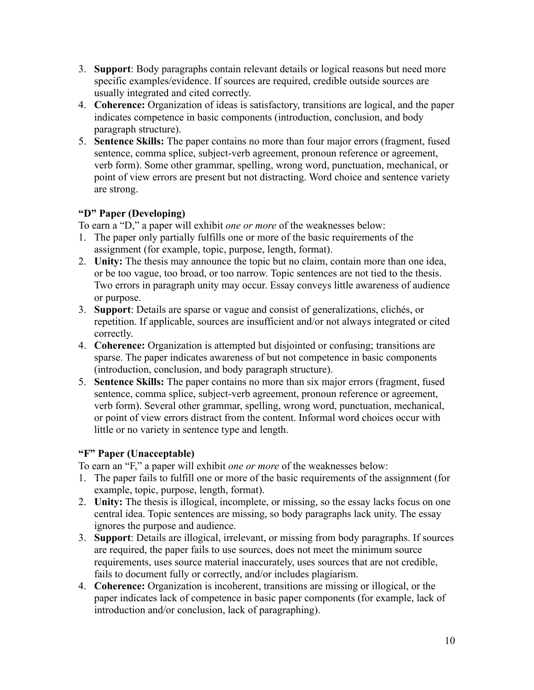- 3. **Support**: Body paragraphs contain relevant details or logical reasons but need more specific examples/evidence. If sources are required, credible outside sources are usually integrated and cited correctly.
- 4. **Coherence:** Organization of ideas is satisfactory, transitions are logical, and the paper indicates competence in basic components (introduction, conclusion, and body paragraph structure).
- 5. **Sentence Skills:** The paper contains no more than four major errors (fragment, fused sentence, comma splice, subject-verb agreement, pronoun reference or agreement, verb form). Some other grammar, spelling, wrong word, punctuation, mechanical, or point of view errors are present but not distracting. Word choice and sentence variety are strong.

# **"D" Paper (Developing)**

To earn a "D," a paper will exhibit *one or more* of the weaknesses below:

- 1. The paper only partially fulfills one or more of the basic requirements of the assignment (for example, topic, purpose, length, format).
- 2. **Unity:** The thesis may announce the topic but no claim, contain more than one idea, or be too vague, too broad, or too narrow. Topic sentences are not tied to the thesis. Two errors in paragraph unity may occur. Essay conveys little awareness of audience or purpose.
- 3. **Support**: Details are sparse or vague and consist of generalizations, clichés, or repetition. If applicable, sources are insufficient and/or not always integrated or cited correctly.
- 4. **Coherence:** Organization is attempted but disjointed or confusing; transitions are sparse. The paper indicates awareness of but not competence in basic components (introduction, conclusion, and body paragraph structure).
- 5. **Sentence Skills:** The paper contains no more than six major errors (fragment, fused sentence, comma splice, subject-verb agreement, pronoun reference or agreement, verb form). Several other grammar, spelling, wrong word, punctuation, mechanical, or point of view errors distract from the content. Informal word choices occur with little or no variety in sentence type and length.

# **"F" Paper (Unacceptable)**

To earn an "F," a paper will exhibit *one or more* of the weaknesses below:

- 1. The paper fails to fulfill one or more of the basic requirements of the assignment (for example, topic, purpose, length, format).
- 2. **Unity:** The thesis is illogical, incomplete, or missing, so the essay lacks focus on one central idea. Topic sentences are missing, so body paragraphs lack unity. The essay ignores the purpose and audience.
- 3. **Support**: Details are illogical, irrelevant, or missing from body paragraphs. If sources are required, the paper fails to use sources, does not meet the minimum source requirements, uses source material inaccurately, uses sources that are not credible, fails to document fully or correctly, and/or includes plagiarism.
- 4. **Coherence:** Organization is incoherent, transitions are missing or illogical, or the paper indicates lack of competence in basic paper components (for example, lack of introduction and/or conclusion, lack of paragraphing).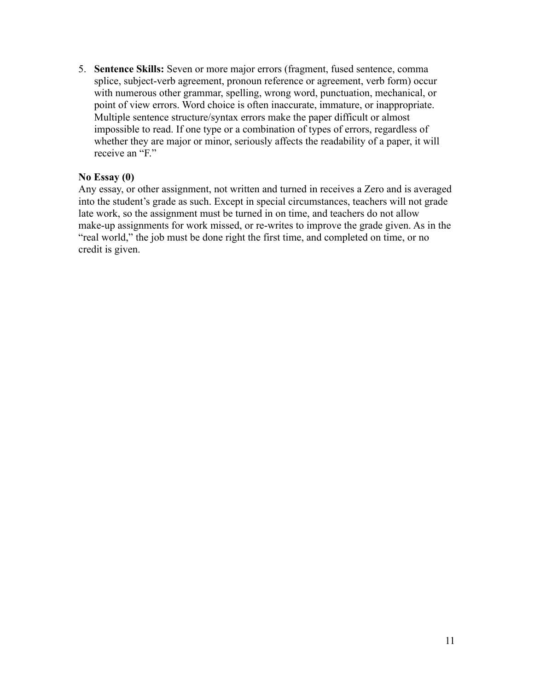5. **Sentence Skills:** Seven or more major errors (fragment, fused sentence, comma splice, subject-verb agreement, pronoun reference or agreement, verb form) occur with numerous other grammar, spelling, wrong word, punctuation, mechanical, or point of view errors. Word choice is often inaccurate, immature, or inappropriate. Multiple sentence structure/syntax errors make the paper difficult or almost impossible to read. If one type or a combination of types of errors, regardless of whether they are major or minor, seriously affects the readability of a paper, it will receive an "F."

#### **No Essay (0)**

Any essay, or other assignment, not written and turned in receives a Zero and is averaged into the student's grade as such. Except in special circumstances, teachers will not grade late work, so the assignment must be turned in on time, and teachers do not allow make-up assignments for work missed, or re-writes to improve the grade given. As in the "real world," the job must be done right the first time, and completed on time, or no credit is given.